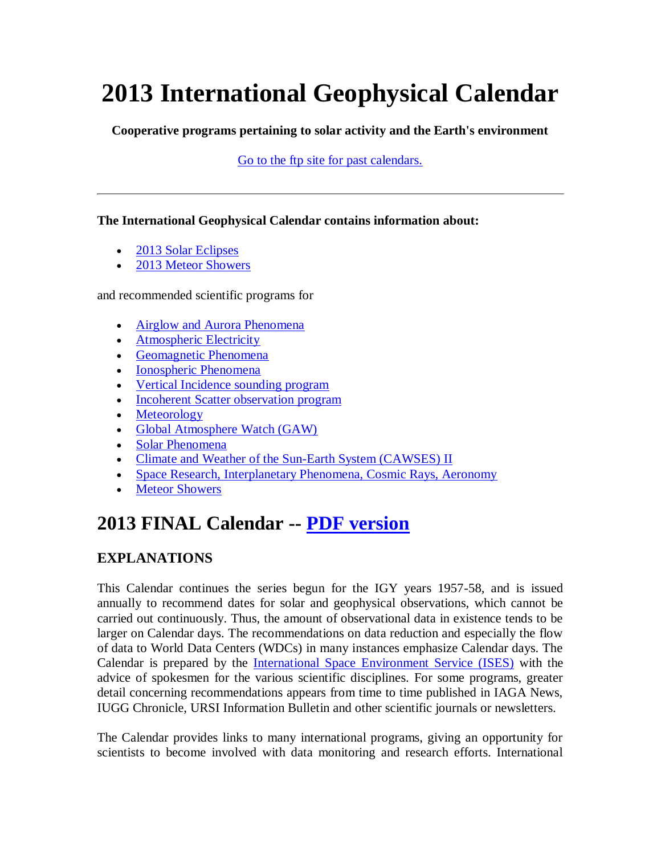# **2013 International Geophysical Calendar**

**Cooperative programs pertaining to solar activity and the Earth's environment**

[Go to the ftp site for past calendars.](ftp://ftp.ngdc.noaa.gov/STP/publications/igc_calendars/)

#### **The International Geophysical Calendar contains information about:**

- [2013 Solar Eclipses](#page-1-0)
- [2013 Meteor Showers](#page-2-0)

and recommended scientific programs for

- [Airglow and Aurora Phenomena](#page-4-0)
- [Atmospheric Electricity](#page-4-1)
- [Geomagnetic Phenomena](#page-4-2)
- [Ionospheric Phenomena](#page-5-0)
- [Vertical Incidence sounding program](#page-5-1)
- [Incoherent Scatter observation program](#page-5-2)
- [Meteorology](#page-8-0)
- [Global Atmosphere Watch \(GAW\)](#page-8-1)
- [Solar Phenomena](#page-8-2)
- [Climate and Weather of the Sun-Earth System \(CAWSES\) II](#page-8-3)
- [Space Research, Interplanetary Phenomena, Cosmic Rays, Aeronomy](#page-9-0)
- [Meteor Showers](#page-9-1)

# **2013 FINAL Calendar -- [PDF version](ftp://ftp.ngdc.noaa.gov/STP/publications/igc_calendars/2013/)**

# **EXPLANATIONS**

This Calendar continues the series begun for the IGY years 1957-58, and is issued annually to recommend dates for solar and geophysical observations, which cannot be carried out continuously. Thus, the amount of observational data in existence tends to be larger on Calendar days. The recommendations on data reduction and especially the flow of data to World Data Centers (WDCs) in many instances emphasize Calendar days. The Calendar is prepared by the [International Space Environment Service \(ISES\)](http://www.ises-spaceweather.org/) with the advice of spokesmen for the various scientific disciplines. For some programs, greater detail concerning recommendations appears from time to time published in IAGA News, IUGG Chronicle, URSI Information Bulletin and other scientific journals or newsletters.

The Calendar provides links to many international programs, giving an opportunity for scientists to become involved with data monitoring and research efforts. International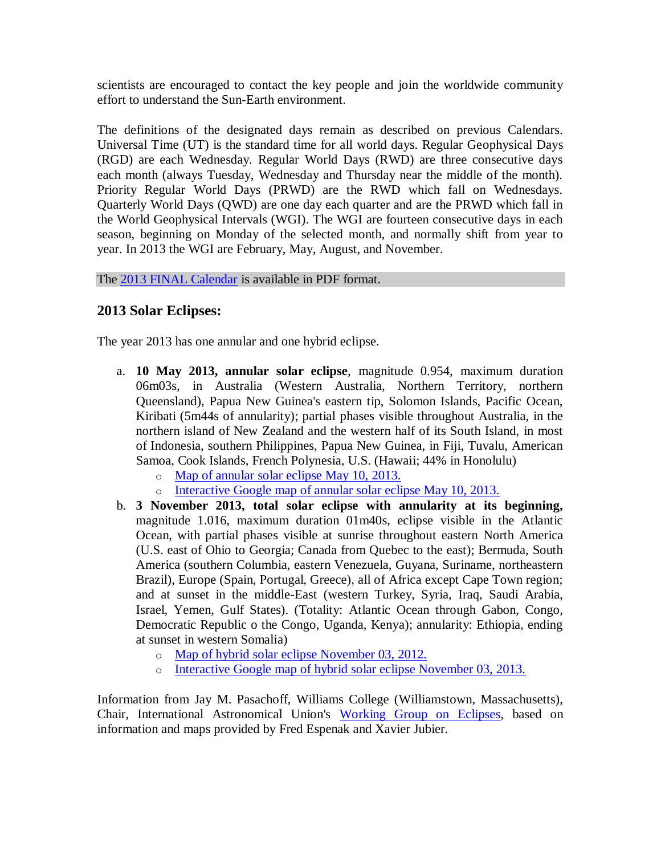scientists are encouraged to contact the key people and join the worldwide community effort to understand the Sun-Earth environment.

The definitions of the designated days remain as described on previous Calendars. Universal Time (UT) is the standard time for all world days. Regular Geophysical Days (RGD) are each Wednesday. Regular World Days (RWD) are three consecutive days each month (always Tuesday, Wednesday and Thursday near the middle of the month). Priority Regular World Days (PRWD) are the RWD which fall on Wednesdays. Quarterly World Days (QWD) are one day each quarter and are the PRWD which fall in the World Geophysical Intervals (WGI). The WGI are fourteen consecutive days in each season, beginning on Monday of the selected month, and normally shift from year to year. In 2013 the WGI are February, May, August, and November.

The [2013 FINAL Calendar](ftp://ftp.ngdc.noaa.gov/STP/publications/igc_calendars/2013/) is available in PDF format.

### <span id="page-1-0"></span>**2013 Solar Eclipses:**

The year 2013 has one annular and one hybrid eclipse.

- a. **10 May 2013, annular solar eclipse**, magnitude 0.954, maximum duration 06m03s, in Australia (Western Australia, Northern Territory, northern Queensland), Papua New Guinea's eastern tip, Solomon Islands, Pacific Ocean, Kiribati (5m44s of annularity); partial phases visible throughout Australia, in the northern island of New Zealand and the western half of its South Island, in most of Indonesia, southern Philippines, Papua New Guinea, in Fiji, Tuvalu, American Samoa, Cook Islands, French Polynesia, U.S. (Hawaii; 44% in Honolulu)
	- o [Map of annular solar eclipse May 10, 2013.](http://eclipse.gsfc.nasa.gov/SEplot/SEplot2001/SE2013May10A.GIF)
	- o [Interactive Google map of annular solar eclipse May 10, 2013.](http://xjubier.free.fr/en/site_pages/solar_eclipses/ASE_2013_GoogleMapFull.html)
- b. **3 November 2013, total solar eclipse with annularity at its beginning,** magnitude 1.016, maximum duration 01m40s, eclipse visible in the Atlantic Ocean, with partial phases visible at sunrise throughout eastern North America (U.S. east of Ohio to Georgia; Canada from Quebec to the east); Bermuda, South America (southern Columbia, eastern Venezuela, Guyana, Suriname, northeastern Brazil), Europe (Spain, Portugal, Greece), all of Africa except Cape Town region; and at sunset in the middle-East (western Turkey, Syria, Iraq, Saudi Arabia, Israel, Yemen, Gulf States). (Totality: Atlantic Ocean through Gabon, Congo, Democratic Republic o the Congo, Uganda, Kenya); annularity: Ethiopia, ending at sunset in western Somalia)
	- o [Map of hybrid solar eclipse November 03, 2012.](http://eclipse.gsfc.nasa.gov/SEplot/SEplot2001/SE2013Nov03H.GIF)
	- o [Interactive Google map of hybrid solar eclipse November 03, 2013.](http://xjubier.free.fr/en/site_pages/solar_eclipses/xSE_GoogleMapFull.php?Ecl=+20131103&Acc=2&Umb=1&Lmt=1&Mag=1&Max=1)

Information from Jay M. Pasachoff, Williams College (Williamstown, Massachusetts), Chair, International Astronomical Union's [Working Group on](http://www.eclipses.info/) Eclipses, based on information and maps provided by Fred Espenak and Xavier Jubier.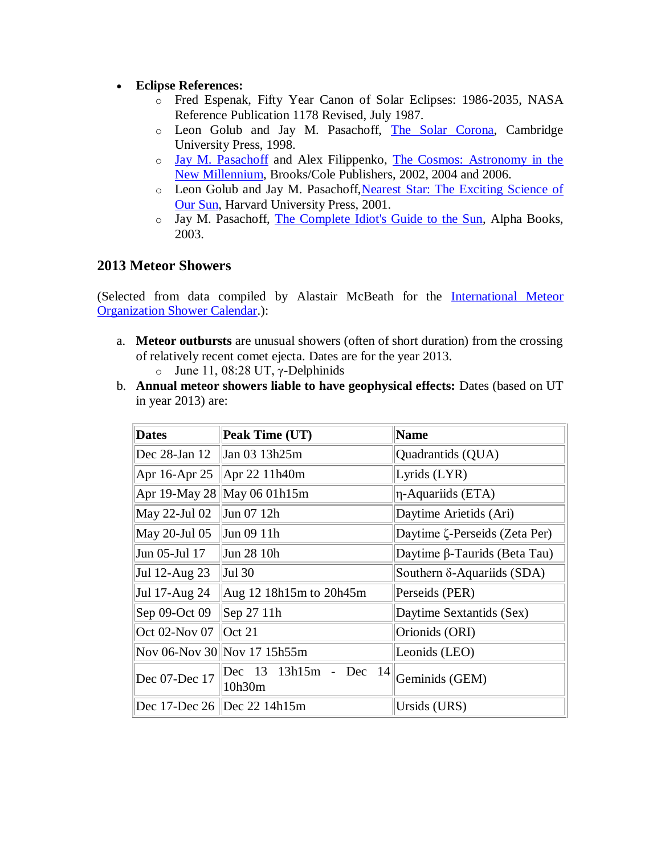#### **Eclipse References:**

- o Fred Espenak, Fifty Year Canon of Solar Eclipses: 1986-2035, NASA Reference Publication 1178 Revised, July 1987.
- o Leon Golub and Jay M. Pasachoff, [The Solar Corona,](http://www.williams.edu/Astronomy/corona) Cambridge University Press, 1998.
- o [Jay M. Pasachoff](http://www.williams.edu/Astronomy/jay) and Alex Filippenko, [The Cosmos: Astronomy in the](http://www.brookscole.com/cgi-wadsworth/course_products_wp.pl?fid=M20b&product_isbn_issn=9780495013037&discipline_number=0)  [New Millennium,](http://www.brookscole.com/cgi-wadsworth/course_products_wp.pl?fid=M20b&product_isbn_issn=9780495013037&discipline_number=0) Brooks/Cole Publishers, 2002, 2004 and 2006.
- o Leon Golub and Jay M. Pasachoff, Nearest Star: The Exciting Science of [Our Sun,](http://www.williams.edu/astronomy/neareststar) Harvard University Press, 2001.
- o Jay M. Pasachoff, [The Complete Idiot's Guide to the Sun,](http://www.williams.edu/astronomy/sun) Alpha Books, 2003.

### <span id="page-2-0"></span>**2013 Meteor Showers**

(Selected from data compiled by Alastair McBeath for the [International Meteor](http://www.imo.net/calendar)  [Organization Shower Calendar.](http://www.imo.net/calendar)):

- a. **Meteor outbursts** are unusual showers (often of short duration) from the crossing of relatively recent comet ejecta. Dates are for the year 2013.
	- o June 11, 08:28 UT, γ-Delphinids
- b. **Annual meteor showers liable to have geophysical effects:** Dates (based on UT in year 2013) are:

| <b>Dates</b>  | Peak Time (UT)                                 | Name                                |
|---------------|------------------------------------------------|-------------------------------------|
| Dec 28-Jan 12 | Jan 03 13h25m                                  | Quadrantids (QUA)                   |
| Apr 16-Apr 25 | $\vert$ Apr 22 11h40m                          | Lyrids $(LYR)$                      |
|               | Apr 19-May 28 May 06 01h15m                    | $\eta$ -Aquariids (ETA)             |
| May 22-Jul 02 | Jun 07 12h                                     | Daytime Arietids (Ari)              |
| May 20-Jul 05 | Jun 09 11h                                     | Daytime ζ-Perseids (Zeta Per)       |
| Jun 05-Jul 17 | Jun 28 10h                                     | Daytime $\beta$ -Taurids (Beta Tau) |
| Jul 12-Aug 23 | $Jul$ 30                                       | Southern $\delta$ -Aquariids (SDA)  |
| Jul 17-Aug 24 | Aug 12 18h15m to 20h45m                        | Perseids (PER)                      |
| Sep 09-Oct 09 | $\text{Sep } 27 11h$                           | Daytime Sextantids (Sex)            |
| Oct 02-Nov 07 | $\vert$ Oct 21                                 | Orionids (ORI)                      |
|               | Nov 06-Nov 30 Nov 17 15h55m                    | Leonids (LEO)                       |
| Dec 07-Dec 17 | $\Delta$ Dec 13<br>$13h15m - Dec$ 14<br>10h30m | Geminids (GEM)                      |
|               | Dec 17-Dec 26  Dec 22 14h15m                   | Ursids (URS)                        |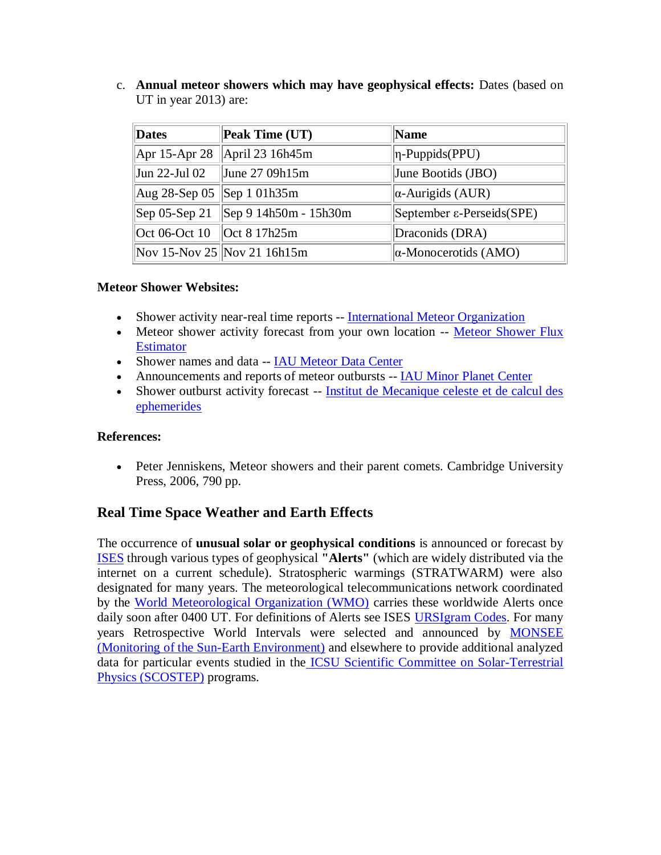c. **Annual meteor showers which may have geophysical effects:** Dates (based on UT in year 2013) are:

| <b>Dates</b>                           | Peak Time (UT)                 | Name                         |
|----------------------------------------|--------------------------------|------------------------------|
| Apr $15$ -Apr $28$                     | April $23$ 16h45m              | $\eta$ -Puppids(PPU)         |
| Jun 22-Jul 02                          | June $2709h15m$                | June Bootids (JBO)           |
| Aug 28-Sep 05                          | $\text{Sep } 1 \text{ 01h35m}$ | $\alpha$ -Aurigids (AUR)     |
| $\text{Sep } 05\text{-}\text{Sep } 21$ | Sep 9 14h50m - 15h30m          | September ε-Perseids(SPE)    |
| Oct 06-Oct 10                          | $\vert$ Oct 8 17h25m           | Draconids (DRA)              |
|                                        | Nov 15-Nov 25 Nov 21 16h15m    | $\alpha$ -Monocerotids (AMO) |

#### **Meteor Shower Websites:**

- Shower activity near-real time reports -- [International Meteor Organization](http://www.imo.net/)
- Meteor shower activity forecast from your own location -- Meteor Shower Flux **[Estimator](http://leonid.arc.nasa.gov/estimator.html)**
- Shower names and data -- [IAU Meteor Data Center](http://www.astro.amu.edu.pl/~jopek/MDC2007/index.php)
- Announcements and reports of meteor outbursts -- [IAU Minor Planet Center](http://minorplanetcenter.net/)
- Shower outburst activity forecast -- [Institut de Mecanique celeste et de calcul des](http://www.imcce.fr/page.php?nav=en/ephemerides/phenomenes/meteor/index.php)  [ephemerides](http://www.imcce.fr/page.php?nav=en/ephemerides/phenomenes/meteor/index.php)

#### **References:**

 Peter Jenniskens, Meteor showers and their parent comets. Cambridge University Press, 2006, 790 pp.

# **Real Time Space Weather and Earth Effects**

The occurrence of **unusual solar or geophysical conditions** is announced or forecast by [ISES](http://ises-spaceweather.org/) through various types of geophysical **"Alerts"** (which are widely distributed via the internet on a current schedule). Stratospheric warmings (STRATWARM) were also designated for many years. The meteorological telecommunications network coordinated by the [World Meteorological Organization \(WMO\)](http://www.wmo.ch/) carries these worldwide Alerts once daily soon after 0400 UT. For definitions of Alerts see ISES [URSIgram Codes.](http://ises-spaceweather.org/ISES.php?target=Code_Book&id=p2&include=Code_Book&title=URSIgram+Codes) For many years Retrospective World Intervals were selected and announced by [MONSEE](http://www.ips.gov.au/IPSHosted/INAG/inag06/inag06.htm#10.1)  [\(Monitoring of the Sun-Earth Environment\)](http://www.ips.gov.au/IPSHosted/INAG/inag06/inag06.htm#10.1) and elsewhere to provide additional analyzed data for particular events studied in the **ICSU Scientific Committee on Solar-Terrestrial** [Physics \(SCOSTEP\)](http://www.yorku.ca/scostep/) programs.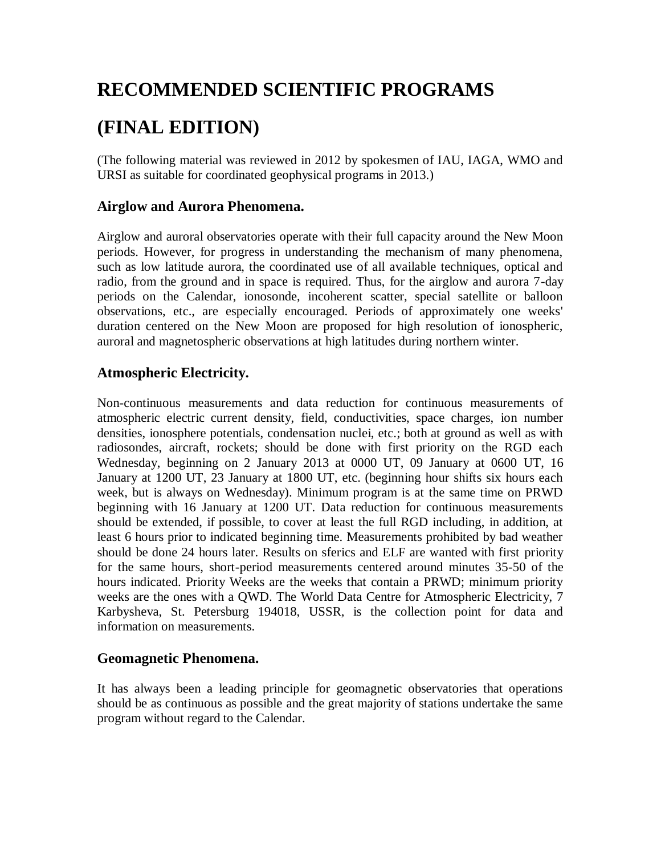# **RECOMMENDED SCIENTIFIC PROGRAMS**

# **(FINAL EDITION)**

(The following material was reviewed in 2012 by spokesmen of IAU, IAGA, WMO and URSI as suitable for coordinated geophysical programs in 2013.)

# <span id="page-4-0"></span>**Airglow and Aurora Phenomena.**

Airglow and auroral observatories operate with their full capacity around the New Moon periods. However, for progress in understanding the mechanism of many phenomena, such as low latitude aurora, the coordinated use of all available techniques, optical and radio, from the ground and in space is required. Thus, for the airglow and aurora 7-day periods on the Calendar, ionosonde, incoherent scatter, special satellite or balloon observations, etc., are especially encouraged. Periods of approximately one weeks' duration centered on the New Moon are proposed for high resolution of ionospheric, auroral and magnetospheric observations at high latitudes during northern winter.

### <span id="page-4-1"></span>**Atmospheric Electricity.**

Non-continuous measurements and data reduction for continuous measurements of atmospheric electric current density, field, conductivities, space charges, ion number densities, ionosphere potentials, condensation nuclei, etc.; both at ground as well as with radiosondes, aircraft, rockets; should be done with first priority on the RGD each Wednesday, beginning on 2 January 2013 at 0000 UT, 09 January at 0600 UT, 16 January at 1200 UT, 23 January at 1800 UT, etc. (beginning hour shifts six hours each week, but is always on Wednesday). Minimum program is at the same time on PRWD beginning with 16 January at 1200 UT. Data reduction for continuous measurements should be extended, if possible, to cover at least the full RGD including, in addition, at least 6 hours prior to indicated beginning time. Measurements prohibited by bad weather should be done 24 hours later. Results on sferics and ELF are wanted with first priority for the same hours, short-period measurements centered around minutes 35-50 of the hours indicated. Priority Weeks are the weeks that contain a PRWD; minimum priority weeks are the ones with a QWD. The World Data Centre for Atmospheric Electricity, 7 Karbysheva, St. Petersburg 194018, USSR, is the collection point for data and information on measurements.

### <span id="page-4-2"></span>**Geomagnetic Phenomena.**

It has always been a leading principle for geomagnetic observatories that operations should be as continuous as possible and the great majority of stations undertake the same program without regard to the Calendar.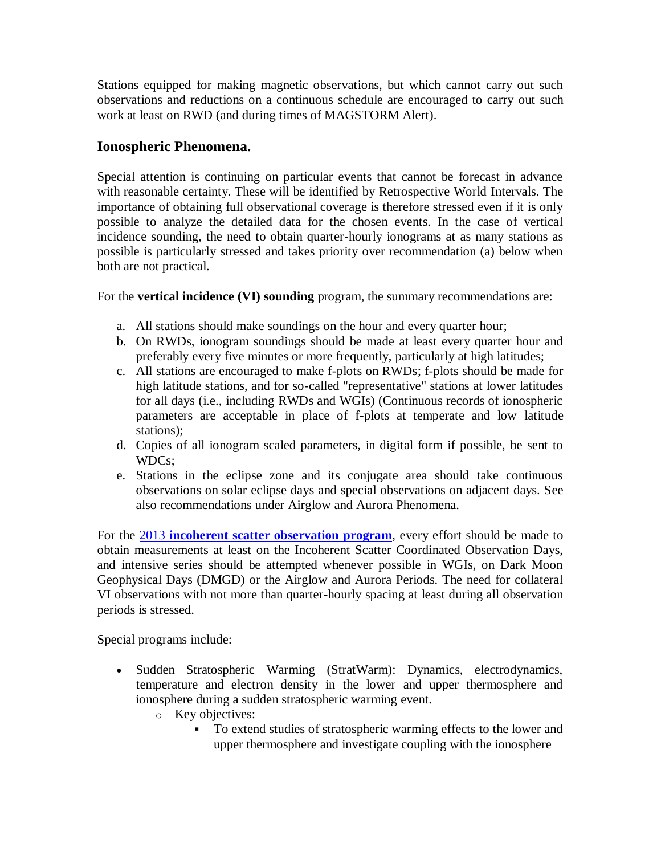Stations equipped for making magnetic observations, but which cannot carry out such observations and reductions on a continuous schedule are encouraged to carry out such work at least on RWD (and during times of MAGSTORM Alert).

### <span id="page-5-0"></span>**Ionospheric Phenomena.**

Special attention is continuing on particular events that cannot be forecast in advance with reasonable certainty. These will be identified by Retrospective World Intervals. The importance of obtaining full observational coverage is therefore stressed even if it is only possible to analyze the detailed data for the chosen events. In the case of vertical incidence sounding, the need to obtain quarter-hourly ionograms at as many stations as possible is particularly stressed and takes priority over recommendation (a) below when both are not practical.

<span id="page-5-1"></span>For the **vertical incidence (VI) sounding** program, the summary recommendations are:

- a. All stations should make soundings on the hour and every quarter hour;
- b. On RWDs, ionogram soundings should be made at least every quarter hour and preferably every five minutes or more frequently, particularly at high latitudes;
- c. All stations are encouraged to make f-plots on RWDs; f-plots should be made for high latitude stations, and for so-called "representative" stations at lower latitudes for all days (i.e., including RWDs and WGIs) (Continuous records of ionospheric parameters are acceptable in place of f-plots at temperate and low latitude stations);
- d. Copies of all ionogram scaled parameters, in digital form if possible, be sent to WDCs;
- e. Stations in the eclipse zone and its conjugate area should take continuous observations on solar eclipse days and special observations on adjacent days. See also recommendations under Airglow and Aurora Phenomena.

<span id="page-5-2"></span>For the 2013 **[incoherent scatter observation program](http://www.isr.sri.com/wd2013.html)**, every effort should be made to obtain measurements at least on the Incoherent Scatter Coordinated Observation Days, and intensive series should be attempted whenever possible in WGIs, on Dark Moon Geophysical Days (DMGD) or the Airglow and Aurora Periods. The need for collateral VI observations with not more than quarter-hourly spacing at least during all observation periods is stressed.

Special programs include:

- Sudden Stratospheric Warming (StratWarm): Dynamics, electrodynamics, temperature and electron density in the lower and upper thermosphere and ionosphere during a sudden stratospheric warming event.
	- o Key objectives:
		- To extend studies of stratospheric warming effects to the lower and upper thermosphere and investigate coupling with the ionosphere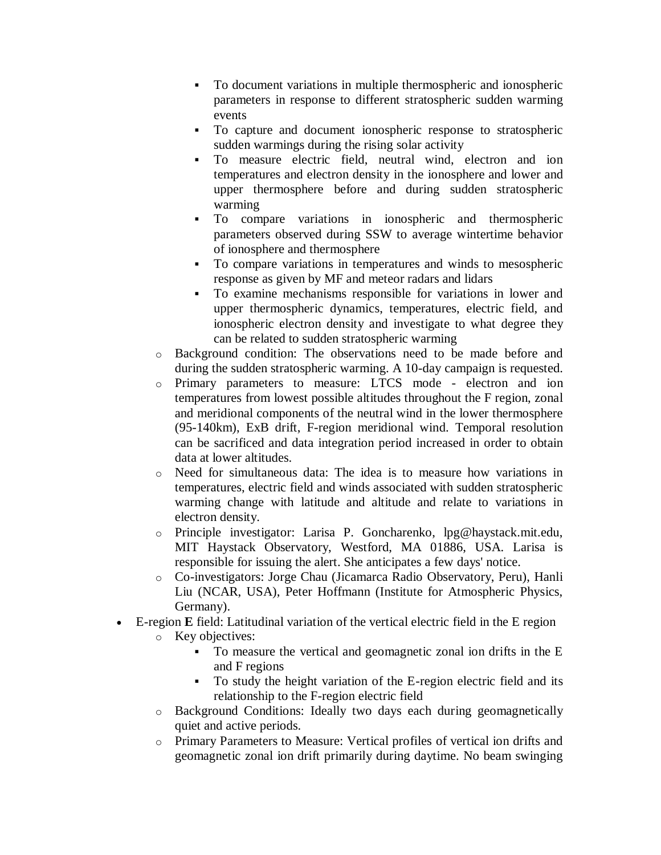- To document variations in multiple thermospheric and ionospheric parameters in response to different stratospheric sudden warming events
- To capture and document ionospheric response to stratospheric sudden warmings during the rising solar activity
- To measure electric field, neutral wind, electron and ion temperatures and electron density in the ionosphere and lower and upper thermosphere before and during sudden stratospheric warming
- To compare variations in ionospheric and thermospheric parameters observed during SSW to average wintertime behavior of ionosphere and thermosphere
- To compare variations in temperatures and winds to mesospheric response as given by MF and meteor radars and lidars
- To examine mechanisms responsible for variations in lower and upper thermospheric dynamics, temperatures, electric field, and ionospheric electron density and investigate to what degree they can be related to sudden stratospheric warming
- o Background condition: The observations need to be made before and during the sudden stratospheric warming. A 10-day campaign is requested.
- o Primary parameters to measure: LTCS mode electron and ion temperatures from lowest possible altitudes throughout the F region, zonal and meridional components of the neutral wind in the lower thermosphere (95-140km), ExB drift, F-region meridional wind. Temporal resolution can be sacrificed and data integration period increased in order to obtain data at lower altitudes.
- o Need for simultaneous data: The idea is to measure how variations in temperatures, electric field and winds associated with sudden stratospheric warming change with latitude and altitude and relate to variations in electron density.
- o Principle investigator: Larisa P. Goncharenko, lpg@haystack.mit.edu, MIT Haystack Observatory, Westford, MA 01886, USA. Larisa is responsible for issuing the alert. She anticipates a few days' notice.
- o Co-investigators: Jorge Chau (Jicamarca Radio Observatory, Peru), Hanli Liu (NCAR, USA), Peter Hoffmann (Institute for Atmospheric Physics, Germany).
- E-region **E** field: Latitudinal variation of the vertical electric field in the E region
	- o Key objectives:
		- To measure the vertical and geomagnetic zonal ion drifts in the E and F regions
		- To study the height variation of the E-region electric field and its relationship to the F-region electric field
		- o Background Conditions: Ideally two days each during geomagnetically quiet and active periods.
	- o Primary Parameters to Measure: Vertical profiles of vertical ion drifts and geomagnetic zonal ion drift primarily during daytime. No beam swinging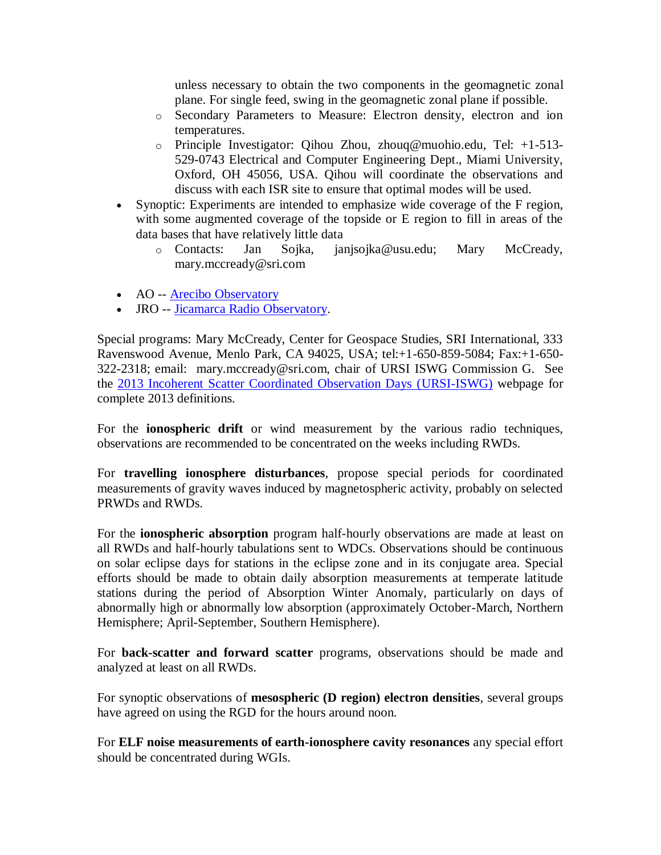unless necessary to obtain the two components in the geomagnetic zonal plane. For single feed, swing in the geomagnetic zonal plane if possible.

- o Secondary Parameters to Measure: Electron density, electron and ion temperatures.
- o Principle Investigator: Qihou Zhou, zhouq@muohio.edu, Tel: +1-513- 529-0743 Electrical and Computer Engineering Dept., Miami University, Oxford, OH 45056, USA. Qihou will coordinate the observations and discuss with each ISR site to ensure that optimal modes will be used.
- Synoptic: Experiments are intended to emphasize wide coverage of the F region, with some augmented coverage of the topside or E region to fill in areas of the data bases that have relatively little data
	- o Contacts: Jan Sojka, janjsojka@usu.edu; Mary McCready, mary.mccready@sri.com
- AO -- [Arecibo Observatory](http://www.naic.edu/aisr/olmon2005/omframedoc.html)
- JRO -- [Jicamarca Radio Observatory.](http://jro.igp.gob.pe/english/radar/operation/real-time_en.php)

Special programs: Mary McCready, Center for Geospace Studies, SRI International, 333 Ravenswood Avenue, Menlo Park, CA 94025, USA; tel:+1-650-859-5084; Fax:+1-650- 322-2318; email: mary.mccready@sri.com, chair of URSI ISWG Commission G. See the [2013 Incoherent Scatter Coordinated Observation Days \(URSI-ISWG\)](http://www.isr.sri.com/wd2013.html) webpage for complete 2013 definitions.

For the **ionospheric drift** or wind measurement by the various radio techniques, observations are recommended to be concentrated on the weeks including RWDs.

For **travelling ionosphere disturbances**, propose special periods for coordinated measurements of gravity waves induced by magnetospheric activity, probably on selected PRWDs and RWDs.

For the **ionospheric absorption** program half-hourly observations are made at least on all RWDs and half-hourly tabulations sent to WDCs. Observations should be continuous on solar eclipse days for stations in the eclipse zone and in its conjugate area. Special efforts should be made to obtain daily absorption measurements at temperate latitude stations during the period of Absorption Winter Anomaly, particularly on days of abnormally high or abnormally low absorption (approximately October-March, Northern Hemisphere; April-September, Southern Hemisphere).

For **back-scatter and forward scatter** programs, observations should be made and analyzed at least on all RWDs.

For synoptic observations of **mesospheric (D region) electron densities**, several groups have agreed on using the RGD for the hours around noon.

For **ELF noise measurements of earth-ionosphere cavity resonances** any special effort should be concentrated during WGIs.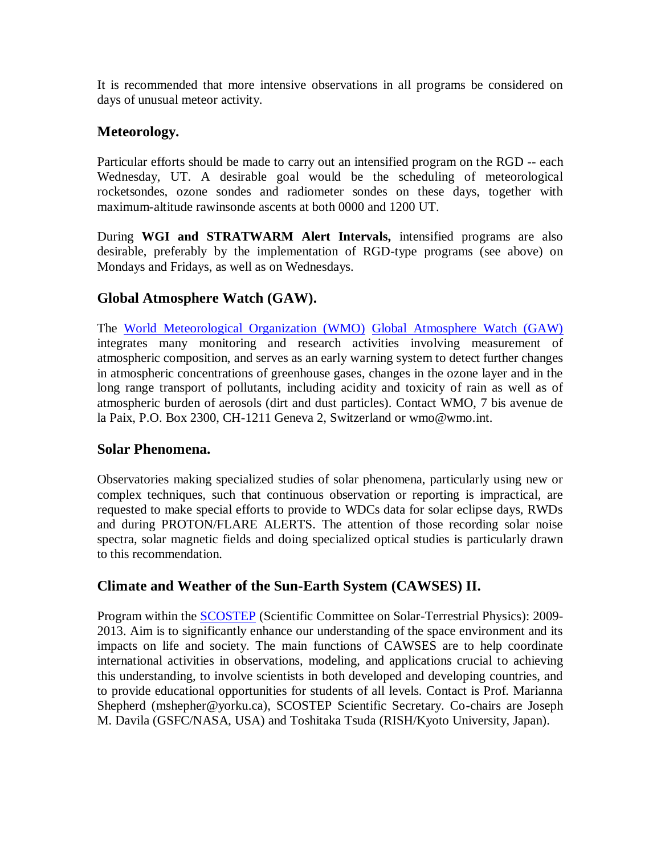It is recommended that more intensive observations in all programs be considered on days of unusual meteor activity.

#### <span id="page-8-0"></span>**Meteorology.**

Particular efforts should be made to carry out an intensified program on the RGD -- each Wednesday, UT. A desirable goal would be the scheduling of meteorological rocketsondes, ozone sondes and radiometer sondes on these days, together with maximum-altitude rawinsonde ascents at both 0000 and 1200 UT.

During **WGI and STRATWARM Alert Intervals,** intensified programs are also desirable, preferably by the implementation of RGD-type programs (see above) on Mondays and Fridays, as well as on Wednesdays.

### <span id="page-8-1"></span>**Global Atmosphere Watch (GAW).**

The [World Meteorological Organization \(WMO\)](http://www.wmo.ch/) [Global Atmosphere Watch \(GAW\)](http://www.wmo.int/pages/prog/arep/gaw/gaw_home_en.html) integrates many monitoring and research activities involving measurement of atmospheric composition, and serves as an early warning system to detect further changes in atmospheric concentrations of greenhouse gases, changes in the ozone layer and in the long range transport of pollutants, including acidity and toxicity of rain as well as of atmospheric burden of aerosols (dirt and dust particles). Contact WMO, 7 bis avenue de la Paix, P.O. Box 2300, CH-1211 Geneva 2, Switzerland or wmo@wmo.int.

#### <span id="page-8-2"></span>**Solar Phenomena.**

Observatories making specialized studies of solar phenomena, particularly using new or complex techniques, such that continuous observation or reporting is impractical, are requested to make special efforts to provide to WDCs data for solar eclipse days, RWDs and during PROTON/FLARE ALERTS. The attention of those recording solar noise spectra, solar magnetic fields and doing specialized optical studies is particularly drawn to this recommendation.

### <span id="page-8-3"></span>**Climate and Weather of the Sun-Earth System (CAWSES) II.**

Program within the [SCOSTEP](http://www.yorku.ca/scostep/) (Scientific Committee on Solar-Terrestrial Physics): 2009- 2013. Aim is to significantly enhance our understanding of the space environment and its impacts on life and society. The main functions of CAWSES are to help coordinate international activities in observations, modeling, and applications crucial to achieving this understanding, to involve scientists in both developed and developing countries, and to provide educational opportunities for students of all levels. Contact is Prof. Marianna Shepherd (mshepher@yorku.ca), SCOSTEP Scientific Secretary. Co-chairs are Joseph M. Davila (GSFC/NASA, USA) and Toshitaka Tsuda (RISH/Kyoto University, Japan).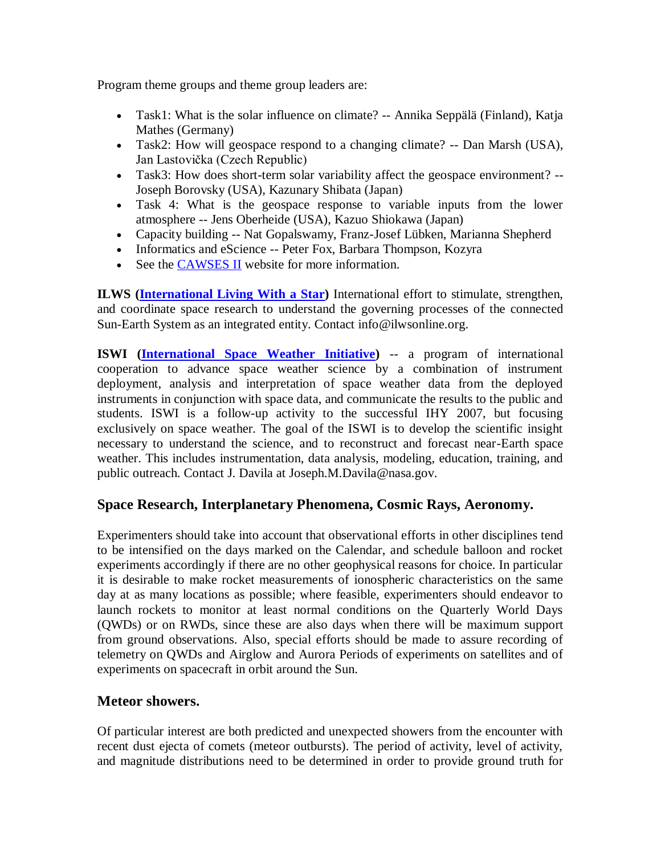Program theme groups and theme group leaders are:

- Task1: What is the solar influence on climate? -- Annika Seppälä (Finland), Katja Mathes (Germany)
- Task2: How will geospace respond to a changing climate? -- Dan Marsh (USA), Jan Lastovička (Czech Republic)
- Task3: How does short-term solar variability affect the geospace environment? -- Joseph Borovsky (USA), Kazunary Shibata (Japan)
- Task 4: What is the geospace response to variable inputs from the lower atmosphere -- Jens Oberheide (USA), Kazuo Shiokawa (Japan)
- Capacity building -- Nat Gopalswamy, Franz-Josef Lübken, Marianna Shepherd
- Informatics and eScience -- Peter Fox, Barbara Thompson, Kozyra
- See the [CAWSES II](http://www.cawses.org/CAWSES/Home.html) website for more information.

**ILWS [\(International Living With a Star\)](http://ilwsonline.org/)** International effort to stimulate, strengthen, and coordinate space research to understand the governing processes of the connected Sun-Earth System as an integrated entity. Contact info@ilwsonline.org.

**ISWI [\(International Space Weather Initiative\)](http://www.iswi-secretariat.org/)** -- a program of international cooperation to advance space weather science by a combination of instrument deployment, analysis and interpretation of space weather data from the deployed instruments in conjunction with space data, and communicate the results to the public and students. ISWI is a follow-up activity to the successful IHY 2007, but focusing exclusively on space weather. The goal of the ISWI is to develop the scientific insight necessary to understand the science, and to reconstruct and forecast near-Earth space weather. This includes instrumentation, data analysis, modeling, education, training, and public outreach. Contact J. Davila at Joseph.M.Davila@nasa.gov.

### <span id="page-9-0"></span>**Space Research, Interplanetary Phenomena, Cosmic Rays, Aeronomy.**

Experimenters should take into account that observational efforts in other disciplines tend to be intensified on the days marked on the Calendar, and schedule balloon and rocket experiments accordingly if there are no other geophysical reasons for choice. In particular it is desirable to make rocket measurements of ionospheric characteristics on the same day at as many locations as possible; where feasible, experimenters should endeavor to launch rockets to monitor at least normal conditions on the Quarterly World Days (QWDs) or on RWDs, since these are also days when there will be maximum support from ground observations. Also, special efforts should be made to assure recording of telemetry on QWDs and Airglow and Aurora Periods of experiments on satellites and of experiments on spacecraft in orbit around the Sun.

#### <span id="page-9-1"></span>**Meteor showers.**

Of particular interest are both predicted and unexpected showers from the encounter with recent dust ejecta of comets (meteor outbursts). The period of activity, level of activity, and magnitude distributions need to be determined in order to provide ground truth for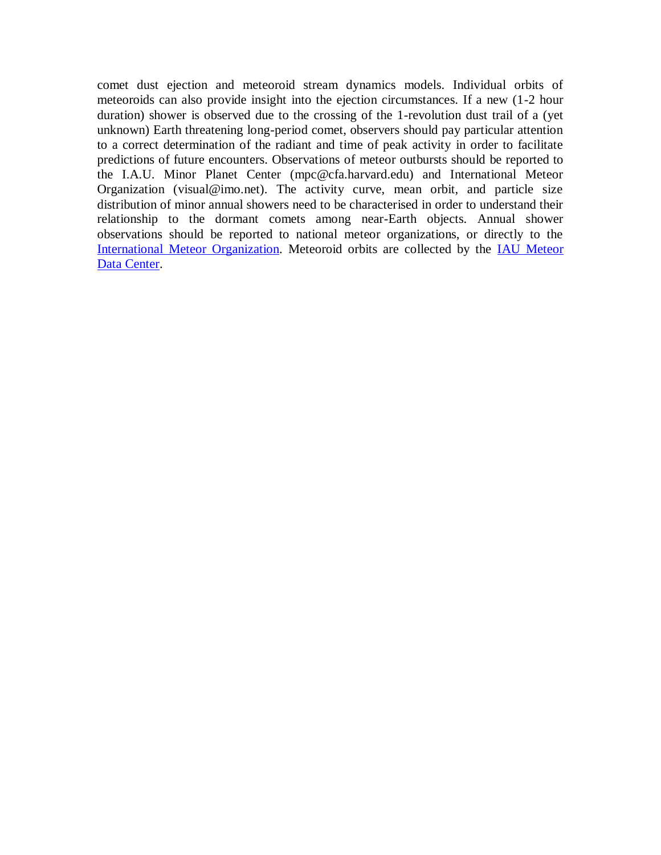comet dust ejection and meteoroid stream dynamics models. Individual orbits of meteoroids can also provide insight into the ejection circumstances. If a new (1-2 hour duration) shower is observed due to the crossing of the 1-revolution dust trail of a (yet unknown) Earth threatening long-period comet, observers should pay particular attention to a correct determination of the radiant and time of peak activity in order to facilitate predictions of future encounters. Observations of meteor outbursts should be reported to the I.A.U. Minor Planet Center (mpc@cfa.harvard.edu) and International Meteor Organization (visual@imo.net). The activity curve, mean orbit, and particle size distribution of minor annual showers need to be characterised in order to understand their relationship to the dormant comets among near-Earth objects. Annual shower observations should be reported to national meteor organizations, or directly to the [International Meteor Organization.](http://www.imo.net/) Meteoroid orbits are collected by the **IAU Meteor** [Data Center.](http://www.astro.sk/~ne/IAUMDC/Ph2003/)